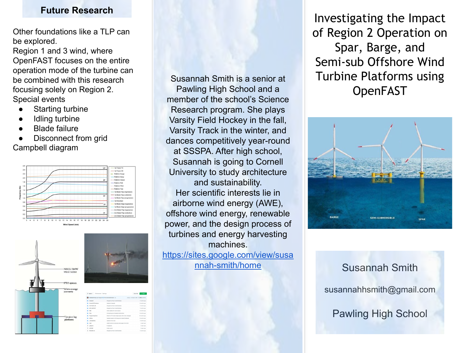#### **Future Research**

Other foundations like a TLP can be explored.

Region 1 and 3 wind, where OpenFAST focuses on the entire operation mode of the turbine can be combined with this research focusing solely on Region 2. Special events

- **Starting turbine**
- **Idling turbine**
- **Blade failure**
- Disconnect from grid Campbell diagram









| 3 <sup>2</sup> master -<br><b>Pittwides</b> C-9 test      |                                                     | Go to the                            | $k$ Code $k$       |
|-----------------------------------------------------------|-----------------------------------------------------|--------------------------------------|--------------------|
| ebranded Merge pull request #22 from obranded/moster (si) |                                                     | cludese an Bap 9, 2020 C 362 commits |                    |
| Campbell<br>m                                             | Merged two files in identify Modes                  |                                      | 7 months ago       |
| Canvert ASTHROOM                                          | Undate of example                                   |                                      | X recently acco    |
| EAST PASTI AB                                             | Merged two files in identify Modes                  |                                      | 7 months ago       |
| MATLANZPART                                               | Messed has files in identify Mades                  |                                      | 7 months ago       |
| <b>Big MAG</b>                                            | Small updates for excel outputs                     |                                      | 8 months son       |
| ٠<br>Pints                                                | <b>Mitodaline new Campbell subfunctions</b>         |                                      | If recently accord |
| <b>Bill</b> Programming Tools                             | Moda for VTK mode shapes (plus other minor changes) |                                      | 15 months ago      |
| <b>By Littles</b>                                         | Undated based on Winivasa and failured feedback     |                                      | A recently ages    |
| <b>In CompleData</b>                                      | Linchens of first carse                             |                                      | 7 months son       |
| MARY<br>٠                                                 | added routine to calculate small angles from DCM.   |                                      | 2 years ago        |
| n<br>.g/paces                                             | fix gitignore                                       |                                      | 2 years ago        |
| LICENSE                                                   | bible carent                                        |                                      | 5 years ago        |
| <b>MAGNETIN</b><br>n                                      | Merged two files in identify Modes                  |                                      | 7 months ago       |

Susannah Smith is a senior at Pawling High School and a member of the school's Science Research program. She plays Varsity Field Hockey in the fall, Varsity Track in the winter, and dances competitively year-round at SSSPA. After high school, Susannah is going to Cornell University to study architecture and sustainability. Her scientific interests lie in airborne wind energy (AWE), offshore wind energy, renewable power, and the design process of turbines and energy harvesting machines. [https://sites.google.com/view/susa](https://sites.google.com/view/susannah-smith/home) [nnah-smith/home](https://sites.google.com/view/susannah-smith/home)

Investigating the Impact of Region 2 Operation on Spar, Barge, and Semi-sub Offshore Wind Turbine Platforms using OpenFAST



# Susannah Smith susannahhsmith@gmail.com Pawling High School